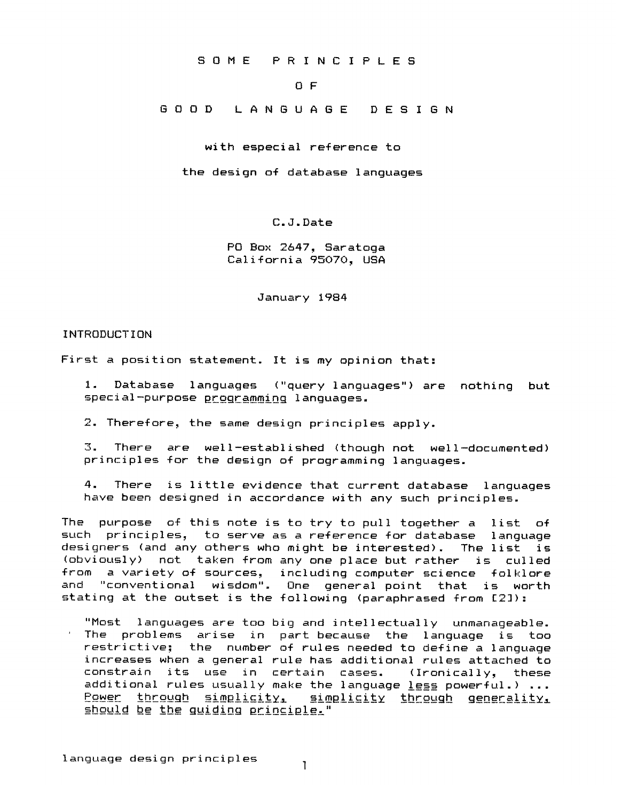# SOME PRINCIPLES

# SOMETIME PRINCIPLES IN 1999

GOOD LANGUAGE DESIGN

with especial reference to

the design of database languages

C.J.Date

PO Box 2647, Saratoga California 95070. USA

January 1984

#### **INTRODUCTION**

First a position statement. It is my opinion that:

1. Database languages ("query-languages") are nothing but special-purpose programming languages.

2. Therefore, the same design principles apply.

3. There are well-established (though not well-documented) principles for the design of programming languages.

4. There is little evidence that current database languages have been designed in accordance with any such principles.

The purpose of this note is to try to pull together a list of such principles, to serve as a reference for database language designers (and any others who might be interested). The list is (obviously) not taken from any one place but rather is culled from a variety of sources, including computer science folklore and "conventional wisdom". One general point that is worth stating at the outset is the following (paraphrased from [2]):

"Most languages are too big and intellectually unmanageable. " The problems arise in part-because the language is too restrictive; the number of rules needed to define a language increases when a general rule has additional rules attached to constrain its use in certain cases. (Ironically, these additional rules usually make the language less powerful.) ... Power through simplicity, simplicity through generality,<br>should be the quiding principle."

 $\mathbf{1}$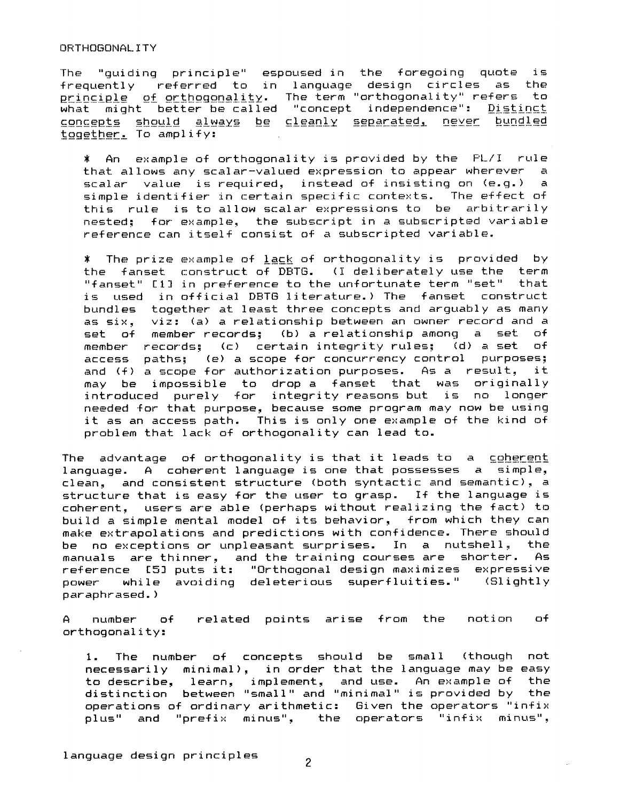## ORTHOGONALITY

The "guiding principle" espoused in the foregoing quote is frequently referred to in language design circles as the  $\frac{1}{2}$  principle of orthogonality. The term "orthogonality" refers to what might better be called "concept independence": <u>Distinct</u>  $\frac{1}{2}$  . In  $\frac{1}{2}$  . In the term  $\frac{1}{2}$  . The term  $\frac{1}{2}$  refers to  $\frac{1}{2}$ what he might between the called "concept": Distiller independence in the concept induction of the concept independence in the concept in the concept in the concept in the concept in the concept in the concept in the conce  $\frac{1}{2}$ 

\* An example of orthogonality is provided by the FL/I rule that allows any scalar-valued expression to appear wherever a<br>scalar value is required, instead of insisting on (e.g.) a simple identifier in certain specific contexts. The effect of this rule is to allow scalar expressions to be arbitrarily nested; for example, the subscript in a subscripted variable  $t\sim\tau$  rule is to allow scalar- expressions to allow scalar- expressions to be arbitrarily  $\tau$ nested; for example, the subscription and subscription of the subscription of the subscription of the subscript<br>In a subscription of the subscription of the subscription of the subscription of the subscription of the subsc

 $*$  The prize example of <u>lack</u> of orthogonality is provided by. the fanset construct of DBTG. (I deliberately use the term<br>"fanset" [1] in preference to the unfortunate term "set" that is used in official DBTG literature.) The fanset construct bundles together at least three concepts and arguably as many as six,  $viz: (a)$  a relationship between an owner record and a set of member records: (b) a relationship among a set of member records: (c) certain integrity rules: (d) a set of access paths; (e) a scope for concurrency control purposes; and  $(f)$  a scope for authorization purposes. As a result, it access paths; (e) a scope for concurrency concept for control purposes; (e) and concept for concurrency control purposes; (e)  $\sim$ and the superstation of the specific purposes for a result, it is a former form needed for that purpose, because some program may now be using it as an access path. This is only one example of the kind of needed for the purpose of the purpose some purpose some program may now be using the using the using the using  $\frac{1}{2}$ it as an access path. This is only one example of the kind of

The advantage of orthogonality is that it leads to a coberent language. A coherent language is one that possesses a simple,<br>clean, and consistent structure (both syntactic and semantic), a structure that is easy for the user to grasp. If the language is coherent, users are able (perhaps without realizing the fact) to build a simple mental model of its behavior, from which they can make extrapolations and predictions with confidence. There should be no exceptions or unpleasant surprises. In a nutshell, the manuals are thinner, and the training courses are shorter. As reference [5] puts it: "Orthogonal design maximizes expressive re the training are the training courses are the training courses are shorter.<br>Assume thinking courses and the training courses and the training and the training of the training of the trai reference formulation and an orthogonal design maximizes expressive expressive contract of the system of  $p$  while a weightly deletering deleterious superfluities.  $\frac{1}{2}$ 

of A number of related points arise from the notion  $\mathcal{L}$  number of relations are not related points are not only in the notion the notion the notion the notion  $\mathcal{L}$ 

1. The number of concepts should be small (though not necessarily minimal), in order that the language may be easy<br>to describe, learn, implement, and use. An example of the necessarily minimal), in order that the language minimal of the language may be easy to the language may be eas<br>In order that the language may be easy of the language may be easy of the language may be easy of the language to describe to describe the description of the secretary of the secretary of the secretary of the secretary of distinction between "small" and "minimality" is provided by the small in the small is provided by the small is<br>In the small distinct the small is provided by the small in the small in the small in the small is provided to operations of ordinary arithmetic: Given the operators "infix

 $\overline{2}$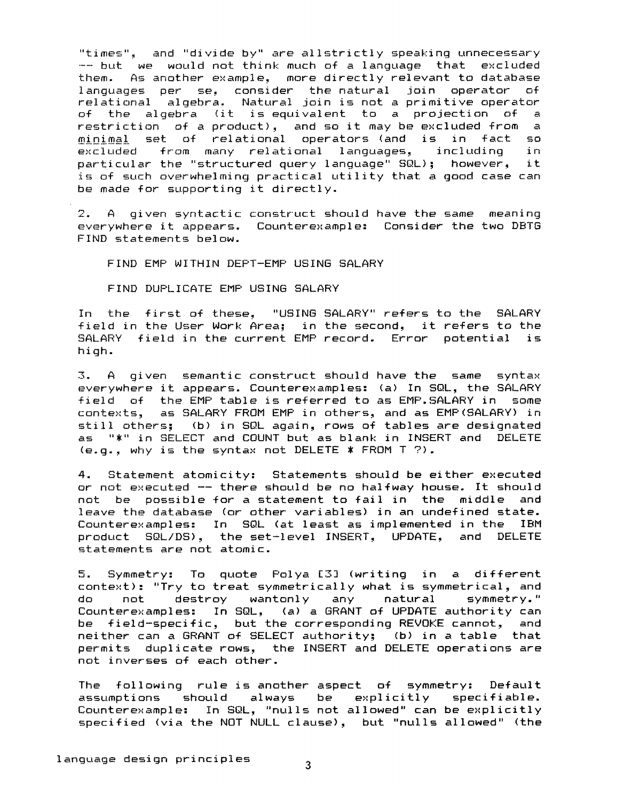"times", and "divide by" are allstrictly speaking unnecessary  $-$  but we would not think much of a language that excluded them. As another example, more directly relevant to database anguages per se, consider the-natural join operator of. elational algebra. Natural join is not a primitive operatorof the algebra (it is equivalent to a projection of a restriction of a product), and so it may be excluded from a minimal set of relational operators (and is in fact so excluded from many relational languages, including in particular the "structured query language"  $SGL$ ); however, it is of such overwhelming practical utility that a good case can be made for supporting it directly.

2. A given syntactic construct should have the same meaning everywhere it appears. Counterexample: Consider the two DBTG FIND statements below.

FIND DUPLICATE EMP USING SALARY

**SALARY** field in the User Work Area; in the second, it refers to the SALARY field in the current EMP record. Error potential is  $\mathcal{S}_\mathbf{R}$  in the current EMP record. Error potential is the current EMP record. Error potential is the cord

3. syntax everywhere it appears. Counterexamples: (a) In SQL, the SALARY field of the EMP table is referred to as EMP. SALARY in some contexts, as SALARY FROM EMP in others, and as EMP(SALARY) in still others: (b) in SQL again, rows of tables are designated as "\*" in SELECT and COUNT but as blank in INSERT and DELETE  $(e.q.,$  why is the syntax not DELETE  $*$  FROM T  $?$ ).

 $4.1$ or not executed -- there should be no halfway house. It should not be possible for a statement to fail in the middle and leave the database (or other variables) in an undefined state. Counterexamples: In SQL (at least as implemented in the IBM product SQL/DS). the set-level INSERT. UPDATE, and DELETE statements are not atomic.

Symmetry: To quote Polya [3] (writing in a different 5. context): "Try to treat symmetrically what is symmetrical, and do not destroy wantonly any natural symmetry." Counterexamples: In SQL, (a) a GRANT of UPDATE authority can be field-specific, but the corresponding REVOKE cannot, and neither can a GRANT of SELECT authority; (b) in a table that permits duplicate rows, the INSERT and DELETE operations are not inverses of each other.

following rule is another aspect of symmetry: The Default assumptions should always be explicitly specifiable. Counterexample: In SQL, "nulls not allowed" can be explicitly specified (via the NOT NULL clause), but "nulls allowed" (the

language design principles 3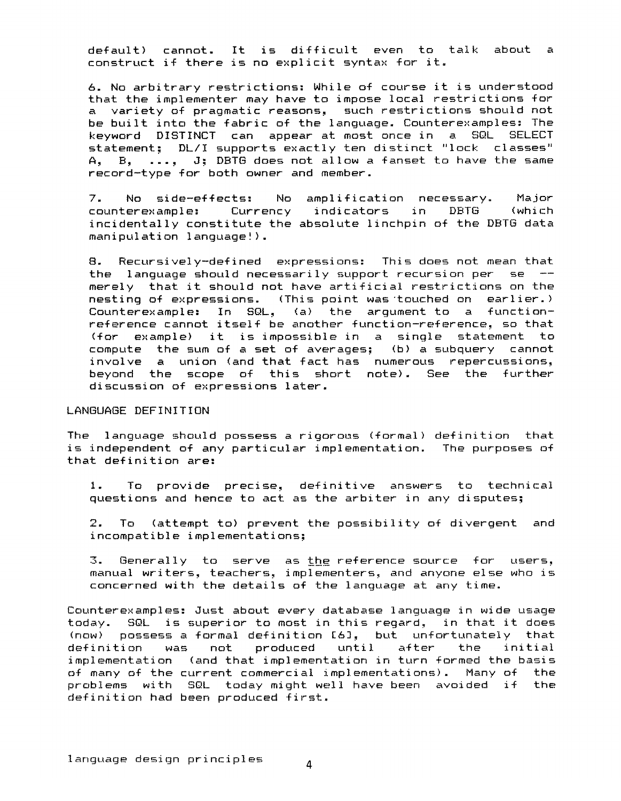default) cannot. It is difficult even to talk about a construct if there is no explicit syntax for it.

6. No arbitrary restrictions: While of course it is understood that the implementer may have to impose local restrictions for a variety of pragmatic reasons, such restrictions should not be built into the fabric of the language. Counterexamples: The keyword DISTINCT can appear at most once in a SQL SELECT statement; DL/I supports exactly ten distinct "lock classes" A, B, ..., J; DBTG does not allow a fanset to have the same record-type for both owner and member.

7. No side-effects: No amplification necessary. Major counterexample: Currency indicators  $i$ n **DRTG**  $($ which incidentally constitute the absolute linchpin of the DBTG data  $manipulation language!)$ .

8. Recursively-defined expressions: This does not mean that the language should necessarily support recursion per  $se$  -merely that it should not have artificial restrictions on the  $\lambda$  nesting of expressions. (This point was touched on earlier.) Counterexample: In SQL. (a) the aroument to a functionreference cannot itself be another function-reference, so that  $(for$  example) it is impossible in a single statement to compute the sum of a set of averages:  $(b)$  a subquery cannot involve a union (and that fact has numerous repercussions, beyond the scope of this short note). See the further discussion of expressions later.

LANGUAGE DEFINITION

The language should possess a rigorous (formal) definition that is independent of any particular implementation. The purposes of that definition are:

definitive answers to 1. To provide precise, technical questions and hence to act as the arbiter in any disputes;

 $2.$  To (attempt to) prevent the possibility of divergent and incompatible implementations;

3. Generally to serve as the reference source for users. manual writers, teachers, implementers, and anyone else who is concerned with the details of the language at any time.

Counterexamples: Just about every database language in wide usage today. SQL is superior to most in this regard, in that it does (now) possess a formal definition [6], but unfortunately that definition was not produced until after the initial implementation (and that implementation in turn formed the basis of many of the current commercial implementations). Many of the problems with SQL today-might-well-have-been avoided if the definition had been produced first.

language design principles

 $\overline{\mathbf{a}}$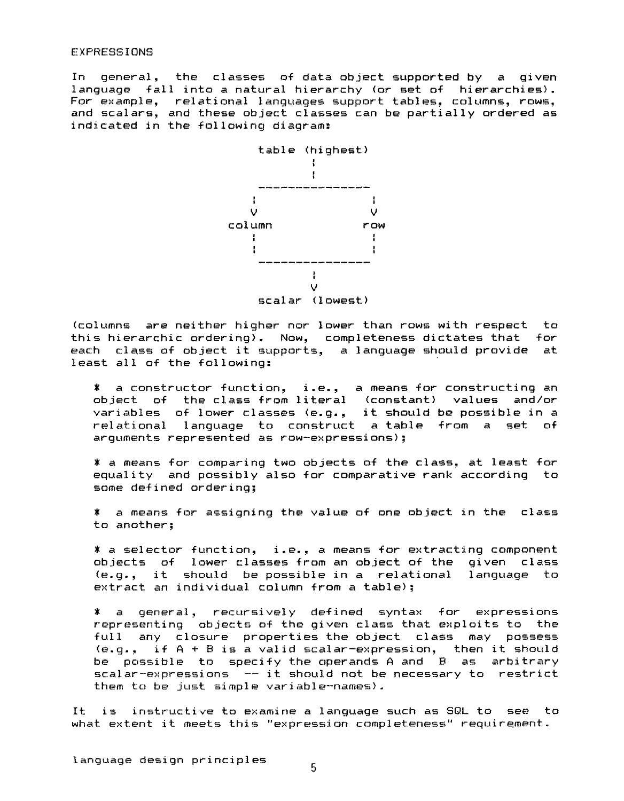## **EXPRESSIONS**

In general, the classes of data object supported by a given Ianguage fail into a natural nierarchy (or set of nierarchies). Lou exemple, leterrough fauguages sabbole cantes) cordinis, comp and scarars, and chese object trasses can be partially ordered as indicated in the following diagram:



(columns are neither higher nor lower than rows with respect to this hierarchic ordering). Now, completeness dictates that for each class of object it supports, a language should provide at least all of the following:

least all of the following: lect of the class from literal (constant) values and/or variables of lower classes (e.g., it should be possible in a relational language to construct a table from a set of arguments represented as row-expressions);

\* a means for comparing two objects of the class, at least for equality and possibly also for comparative rank according to some defined ordering;

\* a means for assigning the value of one object in the class to another;

\* a selector function, i.e., a means for extracting component objects of lower classes from an object of the given class  $(e.q.,$  it should be possible in a relational language to extract an individual column from a table);

 $*$  a general, recursively defined syntax for expressions representing objects of the given class that exploits to the full any closure properties the object class may possess  $f(x)$ ,  $f(x)$  and  $f(x)$  and  $f(x)$  is a valid scalar-expression, then it should be possible to specify the operands A and is a arbitrary scalar-expressions -- it should not be necessary to restrict them to be just simple variable-names).

It is instructive to examine a language such as SQL to see to what extent it meets this "expression completeness" requirement.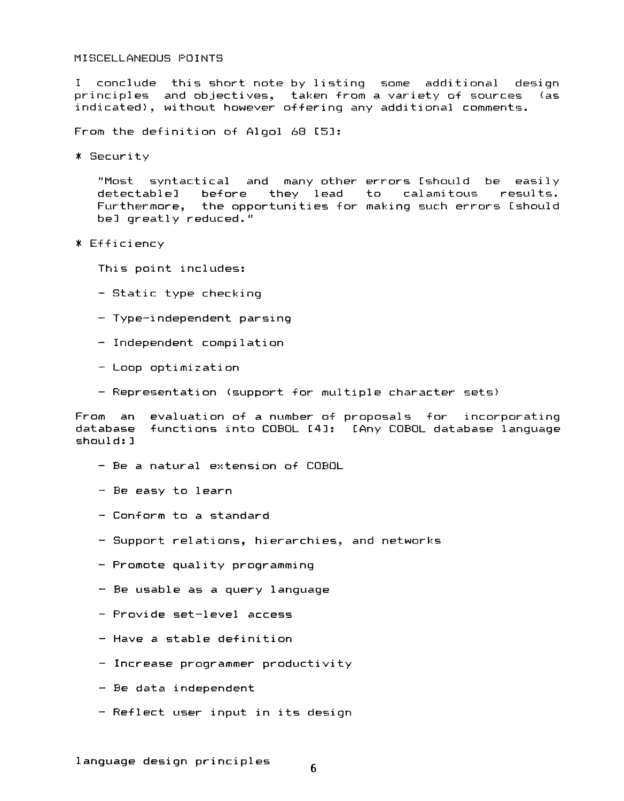## MISCELLANEOUS POINTS

conclude this short note by listing some additional design  $\mathbf{T}$ principles and objectives, taken from a variety of sources (as indicated), without however offering any additional comments.

From the definition of Algol 68 [5]:

\* Security

"Most syntactical and many other errors [should be easily detectable] before they lead to calamitous results. Furthermore, the opportunities for making such errors [should be dereatly reduced."

\* Efficiency

This point includes:

- Static type checking
- Type-independent parsing
- Independent compilation
- Loop optimization
- Representation (support for multiple character sets)

From an evaluation of a number of proposals for incorporating database functions into COBOL [4]: [Any COBOL database language  $shoutds$   $1$ 

- Be a natural extension of COBOL
- Be easy to learn
- Conform to a standard
- Support relations, hierarchies, and networks
- Promote quality programming
- Be usable as a query language
- $-$  Provide set-level access
- Have a stable definition
- Increase programmer productivity
- Be data independent
- Reflect user input in its design

### language design principles